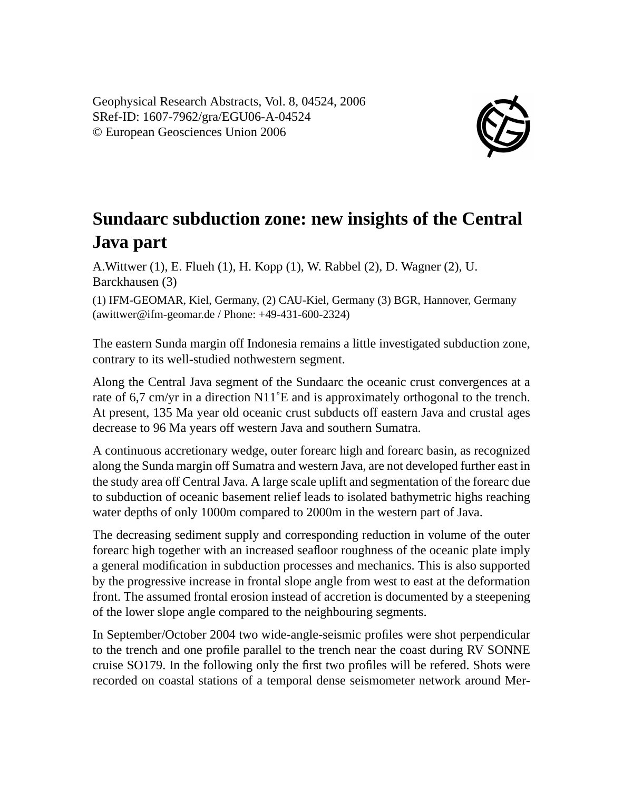Geophysical Research Abstracts, Vol. 8, 04524, 2006 SRef-ID: 1607-7962/gra/EGU06-A-04524 © European Geosciences Union 2006



## **Sundaarc subduction zone: new insights of the Central Java part**

A.Wittwer (1), E. Flueh (1), H. Kopp (1), W. Rabbel (2), D. Wagner (2), U. Barckhausen (3)

(1) IFM-GEOMAR, Kiel, Germany, (2) CAU-Kiel, Germany (3) BGR, Hannover, Germany (awittwer@ifm-geomar.de / Phone: +49-431-600-2324)

The eastern Sunda margin off Indonesia remains a little investigated subduction zone, contrary to its well-studied nothwestern segment.

Along the Central Java segment of the Sundaarc the oceanic crust convergences at a rate of 6,7 cm/yr in a direction N11˚E and is approximately orthogonal to the trench. At present, 135 Ma year old oceanic crust subducts off eastern Java and crustal ages decrease to 96 Ma years off western Java and southern Sumatra.

A continuous accretionary wedge, outer forearc high and forearc basin, as recognized along the Sunda margin off Sumatra and western Java, are not developed further east in the study area off Central Java. A large scale uplift and segmentation of the forearc due to subduction of oceanic basement relief leads to isolated bathymetric highs reaching water depths of only 1000m compared to 2000m in the western part of Java.

The decreasing sediment supply and corresponding reduction in volume of the outer forearc high together with an increased seafloor roughness of the oceanic plate imply a general modification in subduction processes and mechanics. This is also supported by the progressive increase in frontal slope angle from west to east at the deformation front. The assumed frontal erosion instead of accretion is documented by a steepening of the lower slope angle compared to the neighbouring segments.

In September/October 2004 two wide-angle-seismic profiles were shot perpendicular to the trench and one profile parallel to the trench near the coast during RV SONNE cruise SO179. In the following only the first two profiles will be refered. Shots were recorded on coastal stations of a temporal dense seismometer network around Mer-